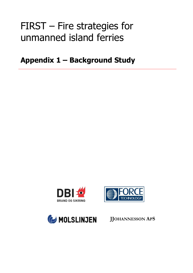# FIRST – Fire strategies for unmanned island ferries

**Appendix 1 – Background Study**

**Study**<br>Study – Study<br>Study – Study – Study







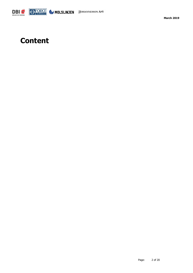

## **Content**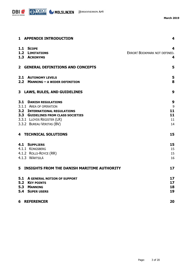

|              | 1 APPENDIX INTRODUCTION                     | 4                            |
|--------------|---------------------------------------------|------------------------------|
|              | 1.1 SCOPE                                   | 4                            |
|              | <b>1.2 LIMITATIONS</b>                      | ERROR! BOOKMARK NOT DEFINED. |
|              | 1.3 ACRONYMS                                | 4                            |
|              |                                             |                              |
| $\mathbf{2}$ | <b>GENERAL DEFINITIONS AND CONCEPTS</b>     | 5                            |
|              | <b>2.1 AUTONOMY LEVELS</b>                  | 5                            |
|              | 2.2 MANNING - A WIDER DEFINITION            | 8                            |
|              |                                             |                              |
|              | 3 LAWS, RULES, AND GUIDELINES               | 9                            |
|              | <b>3.1 DANISH REGULATIONS</b>               | 9                            |
|              | 3.1.1 AREA OF OPERATION                     | 9                            |
|              | <b>3.2 INTERNATIONAL REGULATIONS</b>        | 11                           |
|              | <b>3.3 GUIDELINES FROM CLASS SOCIETIES</b>  | 11                           |
|              | 3.3.1 LLOYDS REGISTER (LR)                  | 11                           |
|              | 3.3.2 BUREAU VERITAS (BV)                   | 14                           |
|              | <b>4 TECHNICAL SOLUTIONS</b>                | 15                           |
|              | <b>4.1 SUPPLIERS</b>                        | 15                           |
|              | 4.1.1 KONGSBERG                             | 15                           |
|              | 4.1.2 ROLLS-ROYCE (RR)                      | 15                           |
|              | 4.1.3 WÄRTSILÄ                              | 16                           |
| 5.           | INSIGHTS FROM THE DANISH MARITIME AUTHORITY | 17                           |
| 5.1          | A GENERAL NOTION OF SUPPORT                 | 17                           |
| 5.2          | <b>KEY POINTS</b>                           | 17                           |
| 5.3          | <b>MANNING</b>                              | 18                           |
|              | 5.4 SUPER USERS                             | 19                           |
| 6            | <b>REFERENCER</b>                           | 20                           |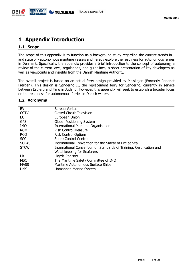## <span id="page-3-0"></span>**1 Appendix Introduction**

#### <span id="page-3-1"></span>**1.1 Scope**

The scope of this appendix is to function as a background study regarding the current trends in and state of - autonomous maritime vessels and hereby explore the readiness for autonomous ferries in Denmark. Specifically, the appendix provides a brief introduction to the concept of autonomy, a review of the current laws, regulations, and guidelines, a short presentation of key developers as well as viewpoints and insights from the Danish Maritime Authority.

The overall project is based on an actual ferry design provided by Molslinjen (Formerly Rederiet Færgen). This design is Sønderho II, the replacement ferry for Sønderho, currently in service between Esbjerg and Fanø in Jutland. However, this appendix will seek to establish a broader focus on the readiness for autonomous ferries in Danish waters.

#### <span id="page-3-2"></span>**1.2 Acronyms**

| <b>BV</b>    | Bureau Veritas                                                       |
|--------------|----------------------------------------------------------------------|
| <b>CCTV</b>  | <b>Closed Circuit Television</b>                                     |
| EU           | European Union                                                       |
| <b>GPS</b>   | <b>Global Positioning System</b>                                     |
| <b>IMO</b>   | <b>International Maritime Organisation</b>                           |
| <b>RCM</b>   | <b>Risk Control Measure</b>                                          |
| <b>RCO</b>   | <b>Risk Control Options</b>                                          |
| <b>SCC</b>   | <b>Shore Control Centre</b>                                          |
| <b>SOLAS</b> | International Convention for the Safety of Life at Sea               |
| <b>STCW</b>  | International Convention on Standards of Training, Certification and |
|              | Watchkeeping for Seafarers                                           |
| LR.          | Lloyds Register                                                      |
| <b>MSC</b>   | The Maritime Safety Committee of IMO                                 |
| <b>MASS</b>  | Maritime Autonomous Surface Ships                                    |
| <b>UMS</b>   | <b>Unmanned Marine System</b>                                        |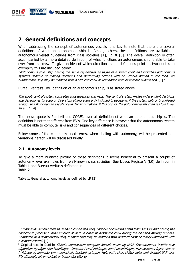## <span id="page-4-0"></span>**2 General definitions and concepts**

When addressing the concept of autonomous vessels it is key to note that there are several definitions of what an autonomous ship is. Among others, these definitions are available in autonomous vessel guidelines from class societies [1], [2] & [3]. The overall definition is often accompanied by a more detailed definition, of what functions an autonomous ship is able to take over from the crew. To give an idea of which directions some definitions point in, two quotes to exemplify this are included below.

"Autonomous ship: ship having the same capabilities as those of a smart ship <sup>1</sup> and including autonomous systems capable of making decisions and performing actions with or without human in the loop. An autonomous ship may be manned with a reduced crew or unmanned with or without supervision. [1]"

Bureau Veritas's (BV) definition of an autonomous ship, is as stated above

The ship's control system computes consequences and risks. The control system makes independent decisions and determines its actions. Operators at shore are only included in decisions, if the system fails or is confused enough to ask for human assistance in decision-making. If this occurs, the autonomy levels changes to a lower  $level....$ "  $[4]^{2}$ 

The above quote is Rambøll and CORE's over all definition of what an autonomous ship is. The definition is not that different from BV's. One key difference is however that the autonomous system must be able to compute risks and consequences of different choices.

Below some of the commonly used terms, when dealing with autonomy, will be presented and variations hereof will be discussed briefly.

#### <span id="page-4-1"></span>**2.1 Autonomy levels**

-

To give a more nuanced picture of these definitions it seems beneficial to present a couple of autonomy level examples from well-known class societies. See Lloyds Register's (LR) definition in [Table 1](#page-4-2) and Bureau Veritas's definition in [Table](#page-5-0) 2.

<span id="page-4-2"></span>Table 1: General autonomy levels as defined by LR [3]

 $1$  Smart ship: generic term to define a connected ship, capable of collecting data from sensors and having the capacity to process a large amount of data in order to assist the crew during the decision making process. Compared to a conventional ship, a smart ship may be manned with reduced crew or totally unmanned with a remote control. [1]

<sup>&</sup>lt;sup>2</sup> Original text in Danish: Skibets styresystem beregner konsekvenser og risici. Styresystemet træffer selv afgørelser og afgør sine handlinger. Operatør i land inddrages kun i beslutninger, hvis systemet fejler eller er i vildrede og anmoder om menneskelig beslutningstagen. Hvis dette sker, skifter autonominiveauet til R eller RU afhængig af, om skibet er bemandet eller ej.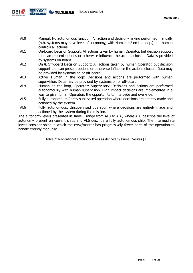

| AL <sub>0</sub>      | Manual: No autonomous function. All action and decision-making performed manually<br>(n.b. systems may have level of autonomy, with Human in/ on the loop.), i.e. human<br>controls all actions.                                            |
|----------------------|---------------------------------------------------------------------------------------------------------------------------------------------------------------------------------------------------------------------------------------------|
| AL1                  | On-board Decision Support: All actions taken by human Operator, but decision support                                                                                                                                                        |
|                      | tool can present options or otherwise influence the actions chosen. Data is provided<br>by systems on board.                                                                                                                                |
| AL <sub>2</sub>      | On & Off-board Decision Support: All actions taken by human Operator, but decision<br>support tool can present options or otherwise influence the actions chosen. Data may                                                                  |
|                      | be provided by systems on or off-board.                                                                                                                                                                                                     |
| AL3                  | Active' Human in the loop: Decisions and actions are performed with human<br>supervision. Data may be provided by systems on or off-board.                                                                                                  |
| AL4                  | Human on the loop, Operator/ Supervisory: Decisions and actions are performed<br>autonomously with human supervision. High impact decisions are implemented in a<br>way to give human Operators the opportunity to intercede and over-ride. |
| $\lambda$ . $\Gamma$ | Fully authorized and Davely and contact according unless placed and and actively applied a                                                                                                                                                  |

- AL5 Fully autonomous: Rarely supervised operation where decisions are entirely made and actioned by the system.
- AL6 Fully autonomous: Unsupervised operation where decisions are entirely made and actioned by the system during the mission.

<span id="page-5-1"></span><span id="page-5-0"></span>The autonomy levels presented in [Table 1](#page-4-2) range from AL0 to AL6, where AL0 describe the level of autonomy present on current ships and AL6 describe a fully autonomous ship. The intermediate levels consider ships in which the crew/master has progressively fewer parts of the operation to handle entirely manually.

Table 2: Navigational autonomy levels as defined by Bureau Veritas [1]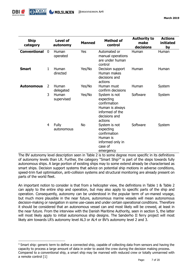| <b>Ship</b><br>category |             | <b>Level of</b><br>autonomy | <b>Manned</b> | <b>Method of</b><br>control                                                                                  | <b>Authority to</b><br>make<br>decisions | <b>Actions</b><br>initiated<br>by |
|-------------------------|-------------|-----------------------------|---------------|--------------------------------------------------------------------------------------------------------------|------------------------------------------|-----------------------------------|
| <b>Conventional</b>     | $\mathbf 0$ | Human<br>operated           | Yes           | Automated or<br>manual operations<br>are under human<br>control                                              | Human                                    | Human                             |
| <b>Smart</b>            | 1           | Human<br>directed           | Yes/No        | Decision support<br>Human makes<br>decisions and<br>actions                                                  | Human                                    | Human                             |
| <b>Autonomous</b>       | 2           | Human<br>delegated          | Yes/No        | Human must<br>confirm decisions                                                                              | Human                                    | System                            |
|                         | 3           | Human<br>supervised         | Yes/No        | System is not<br>expecting<br>confirmation<br>Human is always<br>informed of the<br>decisions and<br>actions | Software                                 | System                            |
|                         | 4           | <b>Fully</b><br>autonomous  | No            | System is not<br>expecting<br>confirmation<br>Human is<br>informed only in<br>case of<br>emergency           | Software                                 | System                            |

The BV autonomy level description seen in [Table 2](#page-5-1) is to some degree more specific in its definitions of autonomy levels than LR. Further, the category "Smart Ship<sup>3</sup>" is part of the steps towards fully autonomous ships. A large portion of existing ships may to some extend already be characterised as smart ships. Decision support systems that advice on potential ship motions in adverse conditions, speed-trim fuel optimisation, anti-collision systems and structural monitoring are already present on parts of the world fleet.

An important notion to consider is that from a helicopter view, the definitions in [Table 1](#page-4-2) & [Table 2](#page-5-1) can apply to the entire ship and operation, but may also apply to specific parts of the ship and operation. Consequently, autonomy can be understood in the popular term of un-maned voyage, but much more plausible in the near future, autonomous marine vessels will mean autonomous decision-making or navigation in some use-cases and under certain operational conditions. Therefore it should be considered that an autonomous vessel can and most likely will be crewed, at least in the near future. From the interview with the Danish Maritime Authority, seen in section [5,](#page-16-0) the latter will most likely apply to initial autonomous ship designs. The Sønderho II ferry project will most likely aim towards LR's autonomy level AL3 or AL4 or BV's autonomy level 2 and 3.

-

<sup>&</sup>lt;sup>3</sup> Smart ship: generic term to define a connected ship, capable of collecting data from sensors and having the capacity to process a large amount of data in order to assist the crew during the decision making process. Compared to a conventional ship, a smart ship may be manned with reduced crew or totally unmanned with a remote control [1]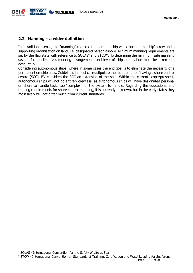#### <span id="page-7-0"></span>**2.2 Manning – a wider definition**

In a traditional sense, the "manning" required to operate a ship would include the ship's crew and a supporting organisation on land, i.e. designated person ashore. Minimum manning requirements are set by the flag state with reference to SOLAS $4$  and STCW $5$ . To determine the minimum safe manning several factors like size, mooring arrangements and level of ship automation must be taken into account [5].

Considering autonomous ships, where in some cases the end goal is to eliminate the necessity of a permanent on-ship crew. Guidelines in most cases stipulate the requirement of having a shore control centre (SCC). BV considers the SCC an extension of the ship. Within the current scope/prospect, autonomous ships will not go entirely crewless, as autonomous ships will have designated personal on shore to handle tasks too "complex" for the system to handle. Regarding the educational and training requirements for shore control manning, it is currently unknown, but in the early states they most likely will not differ much from current standards.

-

<sup>4</sup> SOLAS - International Convention for the Safety of Life at Sea

<sup>5</sup> STCW - International Convention on Standards of Training, Certification and Watchkeeping for Seafarers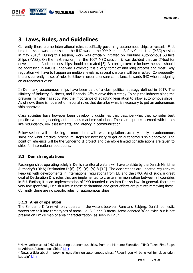## <span id="page-8-0"></span>**3 Laws, Rules, and Guidelines**

Currently there are no international rules specifically governing autonomous ships or vessels. First time the issue was addressed in the IMO was on the 99<sup>th</sup> Maritime Safety Committee (MSC) session in May 2018<sup>6</sup>. During this session, work was officially initiated on Maritime Autonomous Surface Ships (MASS). On the next session, i.e. the 100<sup>th</sup> MSC session, it was decided that an IT-tool for development of autonomous ships should be created [5]. A scoping exercise for how the issue should be addressed in IMO is underway. However, it is a very complex and long process and most likely regulation will have to happen on multiple levels as several chapters will be affected. Consequently, there is currently no set of rules to follow in order to ensure compliance towards IMO when designing an autonomous vessel.

In Denmark, autonomous ships have been part of a clear political strategy defined in 2017. The Ministry of Industry, Business, and Financial Affairs drive this strategy. To help the industry along the previous minister has stipulated the importance of adapting legislation to allow autonomous ships<sup>7</sup>. As of now, there is not a set of national rules that describe what is necessary to get an autonomous ship approved.

Class societies have however been developing guidelines that describe what they consider best practice when engineering autonomous maritime solutions. These are quite concerned with topics like redundancy, risk assessments, and latency in communication.

Below section will be dealing in more detail with what regulations actually apply to autonomous ships and what practical procedural steps are necessary to get an autonomous ship approved. The point of reference will be the Sønderho II project and therefore limited considerations are given to ships for international operations.

#### <span id="page-8-1"></span>**3.1 Danish regulations**

Passenger ships operating solely in Danish territorial waters will have to abide by the Danish Maritime Authority's (DMA) Declaration D [6], [7], [8], [9] & [10]. The declarations are updated regularly to keep up with developments in international regulations from EU and the IMO. As of such, a great deal of Declaration D is rules that are implemented to create a harmonization between all countries in EU. Further, it is an implementation of IMO founded rules into Danish law. In general, there are very few specifically Danish rules in these declarations and great efforts are put into removing these. Currently there are no specific rules for autonomous ships.

#### <span id="page-8-2"></span>**3.1.1 Area of operation**

-

The Sønderho II ferry will only operate in the waters between Fanø and Esbjerg. Danish domestic waters are split into three types of areas, i.e. B, C and D areas. Areas denoted 'A' do exist, but is not present on DMA's map of area characterization, as seen in [Figur 1](#page-9-0)

<sup>6</sup> News article about IMO discussing autonomous ships, from the Maritime Executive: "IMO Takes First Steps to Address Autonomous Ships" [Link](https://www.maritime-executive.com/article/imo-takes-first-steps-to-address-autonomous-ships)

 $<sup>7</sup>$  News article about improving legislation on autonomous ships: "Regeringen vil bane vej for skibe uden</sup> kaptajn" [Link](https://www.dr.dk/nyheder/politik/regeringen-vil-bane-vej-skibe-uden-kaptajn)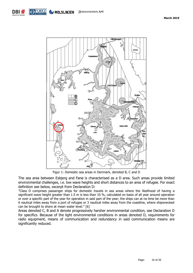



Figur 1: Domestic sea areas in Denmark, denoted B, C and D

<span id="page-9-0"></span>The sea area between Esbjerg and Fanø is characterised as a D area. Such areas provide limited environmental challenges, i.e. low wave heights and short distances to an area of refugee. For exact definition see below, excerpt from Declaration D:

"Class D comprises passenger ships for domestic travels in sea areas where the likelihood of having a significant wave height greater than 1.5 m is less than 10 %, calculated on basis of all year around operation or over a specific part of the year for operation in said part of the year; the ships can at no time be more than 6 nautical miles away from a port of refugee or 3 nautical miles away from the coastline, where shipwrecked can be brought to shore at mean water level." [6]

Areas denoted C, B and A denote progressively harsher environmental condition, see Declaration D for specifics. Because of the light environmental conditions in areas denoted D, requirements for radio equipment, means of communication and redundancy in said communication means are significantly reduced.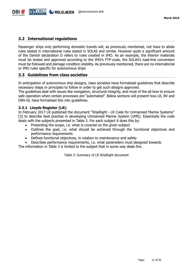#### <span id="page-10-0"></span>**3.2 International regulations**

Passenger ships only performing domestic travels will, as previously mentioned, not have to abide rules stated in international rules stated in SOLAS and similar. However quite a significant amount of the Danish declaration D refers to rules created in IMO. As an example, the interior materials must be tested and approved according to the IMO's FTP-code, the SOLAS's load-line convention must be followed and damage condition stability. As previously mentioned, there are no international or IMO rules specific for autonomous ships

#### <span id="page-10-1"></span>**3.3 Guidelines from class societies**

In anticipation of autonomous ship designs, class societies have formalised guidelines that describe necessary steps or principles to follow in order to get such designs approved.

The guidelines deal with issues like navigation, structural integrity, and most of the all how to ensure safe operation when certain processes are "automated". Below sections will present how LR, BV and DNV-GL have formalised this into guidelines.

#### <span id="page-10-2"></span>**3.3.1 Lloyds Register (LR)**

In February 2017 LR published the document "ShipRight - LR Code for Unmanned Marine Systems" [3] to describe best practise in developing Unmanned Marine System (UMS). Essentially the code deals with the subjects presented in [Table 3.](#page-10-3) For each subject it does this by:

- Presenting the scope, i.e. what is covered on the given subject
- Outlines the goal, i.e. what should be achieved through the functional objectives and performance requirements
- Defines functional objectives, in relation to maintenance and safety
- Describes performance requirements, i.e. what parameters must designed towards

<span id="page-10-3"></span>The information in [Table 3](#page-10-3) is limited to the subject that in some way deals fire.

Table 3: Summary of LR ShipRight document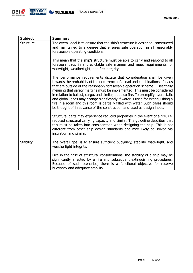

| <b>Subject</b>   | <b>Summary</b>                                                                                                                                                                                                                                                                                                                                                                                                                                                                                                                                                                                                                                           |
|------------------|----------------------------------------------------------------------------------------------------------------------------------------------------------------------------------------------------------------------------------------------------------------------------------------------------------------------------------------------------------------------------------------------------------------------------------------------------------------------------------------------------------------------------------------------------------------------------------------------------------------------------------------------------------|
| <b>Structure</b> | The overall goal is to ensure that the ship's structure is designed, constructed<br>and maintained to a degree that ensures safe operation in all reasonably<br>foreseeable operating conditions.                                                                                                                                                                                                                                                                                                                                                                                                                                                        |
|                  | This mean that the ship's structure must be able to carry and respond to all<br>foreseen loads in a predictable safe manner and meet requirements for<br>watertight, weathertight, and fire integrity.                                                                                                                                                                                                                                                                                                                                                                                                                                                   |
|                  | The performance requirements dictate that consideration shall be given<br>towards the probability of the occurrence of a load and combinations of loads<br>that are outside of the reasonably foreseeable operation scheme. Essentially<br>meaning that safety margins must be implemented. This must be considered<br>in relation to ballast, cargo, and similar, but also fire. To exemplify hydrostatic<br>and global loads may change significantly if water is used for extinguishing a<br>fire in a room and this room is partially filled with water. Such cases should<br>be thought of in advance of the construction and used as design input. |
|                  | Structural parts may experience reduced properties in the event of a fire, i.e.<br>reduced structural carrying capacity and similar. The guideline describes that<br>this must be taken into consideration when designing the ship. This is not<br>different from other ship design standards and may likely be solved via<br>insulation and similar.                                                                                                                                                                                                                                                                                                    |
| <b>Stability</b> | The overall goal is to ensure sufficient buoyancy, stability, watertight, and<br>weathertight integrity.                                                                                                                                                                                                                                                                                                                                                                                                                                                                                                                                                 |
|                  | Like in the case of structural considerations, the stability of a ship may be<br>significantly affected by a fire and subsequent extinguishing procedures.<br>Because of such scenarios, there is a functional objective for reserve<br>buoyancy and adequate stability.                                                                                                                                                                                                                                                                                                                                                                                 |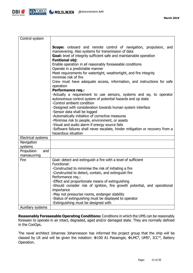

| Control system                   |                                                                                                                                                                                                                                                                                                                                                                                                                                                                                                                                                                                                                                                                                                                                                                                                                                                                                                                                                                                                                                                               |
|----------------------------------|---------------------------------------------------------------------------------------------------------------------------------------------------------------------------------------------------------------------------------------------------------------------------------------------------------------------------------------------------------------------------------------------------------------------------------------------------------------------------------------------------------------------------------------------------------------------------------------------------------------------------------------------------------------------------------------------------------------------------------------------------------------------------------------------------------------------------------------------------------------------------------------------------------------------------------------------------------------------------------------------------------------------------------------------------------------|
|                                  | <b>Scope:</b> onboard and remote control of navigation, propulsion, and<br>manoevering. Also systems for transmission of data<br>Goal: level of integrity sufficient safe and maintainable operation<br><b>Funtional obj:</b><br>Enable operation in all reasonably foreseeable conditions<br>Operate in a predictable manner<br>Meet requirements for watertight, weathertight, and fire integrity<br>minimise risk of fire<br>Crew must have adequate access, information, and instructions for safe<br>operation<br><b>Performance req.:</b><br>-Actually a requirement to use sensors, systems and eq. to operator<br>autonomous control system of potential hazards and op state<br>-Control ambient condition<br>-Designed with consideration towards human system interface<br>-Sensor data shall be logged<br>-Automatically initiation of corrective measures<br>-Minimise risk to people, environment, or assets<br>-Visual and audio alarm if energy source fails<br>-Software failures shall never escalate, hinder mitigation or recovery from a |
| Electrical systems               | hazardous situation                                                                                                                                                                                                                                                                                                                                                                                                                                                                                                                                                                                                                                                                                                                                                                                                                                                                                                                                                                                                                                           |
| Navigation                       |                                                                                                                                                                                                                                                                                                                                                                                                                                                                                                                                                                                                                                                                                                                                                                                                                                                                                                                                                                                                                                                               |
| systems                          |                                                                                                                                                                                                                                                                                                                                                                                                                                                                                                                                                                                                                                                                                                                                                                                                                                                                                                                                                                                                                                                               |
| Propulsion<br>and<br>manoeuvring |                                                                                                                                                                                                                                                                                                                                                                                                                                                                                                                                                                                                                                                                                                                                                                                                                                                                                                                                                                                                                                                               |
| Fire                             | Goal: detect and extinguish a fire with a level of sufficient<br>Functional:<br>-Constructed to minimise the risk of initiating a fire<br>-Constructed to detect, contain, and extinguish fire<br>Performance req.:<br>-Effect and proportionate means of extinguishing<br>-Should consider risk of ignition, fire growth potential, and operational<br>importance<br>-May not pressurise rooms, endanger stability<br>-Status of extinguishing must be displayed to operator<br>-Extinguishing must be designed with                                                                                                                                                                                                                                                                                                                                                                                                                                                                                                                                         |
| Auxiliary systems                |                                                                                                                                                                                                                                                                                                                                                                                                                                                                                                                                                                                                                                                                                                                                                                                                                                                                                                                                                                                                                                                               |

**Reasonably Foreseeable Operating Conditions:** Conditions in which the UMS can be reasonably foreseen to operate in an intact, degraded, aged and/or damaged state. They are normally defined in the ConOps.

The naval architect Johannes Johannesson has informed the project group that the ship will be classed by LR and will be given the notation:  $\text{\#}100$  A1 Passenger,  $\text{\#LMC}^8$ , UMS<sup>9</sup>, ICC<sup>10</sup>, Battery Operation.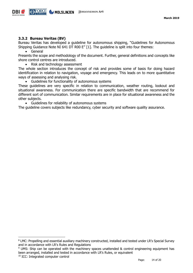

#### <span id="page-13-0"></span>**3.3.2 Bureau Veritas (BV)**

Bureau Veritas has developed a guideline for autonomous shipping, "Guidelines for Autonomous Shipping Guidance Note NI 641 DT R00 E" [1]. The guideline is split into four themes:

General

Presents the scope and methodology of the document. Further, general definitions and concepts like shore control centres are introduced.

Risk and technology assessment

The whole section introduces the concept of risk and provides some of basis for doing hazard identification in relation to navigation, voyage and emergency. This leads on to more quantitative ways of assessing and analysing risk.

Guidelines for functionality of autonomous systems

These guidelines are very specific in relation to communication, weather routing, lookout and situational awareness. For communication there are specific bandwidth that are recommend for different sort of communication. Similar requirements are in place for situational awareness and the other subjects.

Guidelines for reliability of autonomous systems

The guideline covers subjects like redundancy, cyber security and software quality assurance.

-

<sup>8</sup> LMC: Propelling and essential auxiliary machinery constructed, installed and tested under LR's Special Survey and in accordance with LR's Rules and Regulations

<sup>&</sup>lt;sup>9</sup> UMS: Ship can be operated with the machinery spaces unattended & control engineering equipment has been arranged, installed and tested in accordance with LR's Rules, or equivalent

<sup>&</sup>lt;sup>10</sup> ICC: Integrated computer control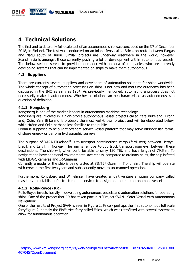## <span id="page-14-0"></span>**4 Technical Solutions**

The first and to date only full-scale test of an autonomous ship was concluded on the 3rd of December 2018, in Finland. The test was conducted on an inland ferry called Falco, on route between Pargas and Nagu south of Turku. Similar projects are underway elsewhere in the world, however, Scandinavia is amongst those currently pushing a lot of development within autonomous vessels. The below section serves to provide the reader with an idea of companies who are currently developing systems that can be implemented on ships to make them autonomous.

#### <span id="page-14-1"></span>**4.1 Suppliers**

There are currently several suppliers and developers of automation solutions for ships worldwide. The whole concept of automating processes on ships is not new and maritime autonomy has been discussed in the IMO as early as 1964. As previously mentioned, automating a process does not necessarily make it autonomous. Whether a solution can be characterised as autonomous is a question of definition.

#### <span id="page-14-2"></span>**4.1.1 Kongsberg**

Kongsberg is one of the market leaders in autonomous maritime technology.

Kongsberg are involved in 3 high-profile autonomous vessel projects called Yara Birkeland, Hrönn and, Odin. Yara Birkeland is probably the most well-known project and will be elaborated below, while Hrönn and Odin perhaps less familiar to the public.

Hrönn is supposed to be a light offshore service vessel platform that may serve offshore fish farms, offshore energy or perform hydrographic surveys.

The purpose of YARA Birkeland<sup>11</sup> is to transport containerised cargo (fertilisers) between Herøya, Brevik and Larvik in Norway. The aim is remove 40.000 truck transport journeys, between these destinations. The ship will, when built, be able to carry 120 TEU and have length of 79.5 m. To navigate and have additional environmental awareness, compared to ordinary ships, the ship is fitted with LIDAR, cameras and IR-Cameras.

Currently a model of the ship is being tested at SINTEF Ocean in Trondheim. The ship will operate with crew in the first two years and subsequently move to un-manned operation.

Furthermore, Kongsberg and Wilhelmsen have created a joint venture shipping company called massterly to establish infrastructure and services to design and operate autonomous vessels.

#### <span id="page-14-3"></span>**4.1.2 Rolls-Royce (RR)**

-

Rolls-Royce invests heavily in developing autonomous vessels and automation solutions for operating ships. One of the project that RR has taken part in is "Project SVAN - Safer Vessel with Autonomous Navigation".

One of the results of Project SVAN is seen in Figure 2: Falco - [perhaps the first autonomous full scale](#page-15-1)  [ferryFigure](#page-15-1) 2, namely the FinFerries ferry called Falco, which was retrofitted with several systems to allow for autonomous operation.

<sup>11</sup>[https://www.km.kongsberg.com/ks/web/nokbg0240.nsf/AllWeb/4B8113B707A50A4FC125811D00](https://www.km.kongsberg.com/ks/web/nokbg0240.nsf/AllWeb/4B8113B707A50A4FC125811D00407045?OpenDocument) [407045?OpenDocument](https://www.km.kongsberg.com/ks/web/nokbg0240.nsf/AllWeb/4B8113B707A50A4FC125811D00407045?OpenDocument)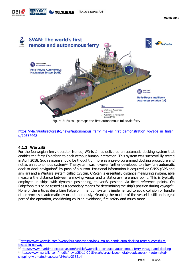



Figure 2: Falco - perhaps the first autonomous full scale ferry

<span id="page-15-1"></span>[https://yle.fi/uutiset/osasto/news/autonomous\\_ferry\\_makes\\_first\\_demonstration\\_voyage\\_in\\_finlan](https://yle.fi/uutiset/osasto/news/autonomous_ferry_makes_first_demonstration_voyage_in_finland/10537448) [d/10537448](https://yle.fi/uutiset/osasto/news/autonomous_ferry_makes_first_demonstration_voyage_in_finland/10537448)

#### <span id="page-15-0"></span>**4.1.3 Wärtsilä**

-

For the Norwegian ferry operator Norled, Wärtsilä has delivered an automatic docking system that enables the ferry Folgefonn to dock without human interaction. This system was successfully tested in April 2018. Such system should be thought of more as a pre-programmed docking procedure and not as an autonomous system<sup>12</sup>. The system was however further developed to allow fully automatic dock-to-dock navigation<sup>13</sup> by push of a button. Positional information is acquired via GNSS (GPS and similar) and a Wärtsilä system called CyScan. CyScan is essentially distance measuring system, able measure the distance between a moving vessel and a stationary reference point. This is typically employed in ships with dynamic positioning, to verify position via fixed reference points. On Folgefonn it is being tested as a secondary means for determining the ship's position during voyage<sup>14</sup>. None of the articles describing Folgefonn mention systems implemented to avoid collision or handle other processes automatically or autonomously. Meaning the master of the vessel is still an integral part of the operation, considering collision avoidance, fire safety and much more.

<sup>12</sup>[https://www.wartsila.com/twentyfour7/innovation/look-ma-no-hands-auto-docking-ferry-successfully](https://www.wartsila.com/twentyfour7/innovation/look-ma-no-hands-auto-docking-ferry-successfully-tested-in-norway)[tested-in-norway](https://www.wartsila.com/twentyfour7/innovation/look-ma-no-hands-auto-docking-ferry-successfully-tested-in-norway)

<sup>13</sup> <https://www.maritime-executive.com/article/waertsilae-conducts-autonomous-ferry-voyage-and-docking> 14[https://www.wartsila.com/media/news/28-11-2018-wartsila-achieves-notable-advances-in-automated](https://www.wartsila.com/media/news/28-11-2018-wartsila-achieves-notable-advances-in-automated-shipping-with-latest-successful-tests-2332144)[shipping-with-latest-successful-tests-2332144](https://www.wartsila.com/media/news/28-11-2018-wartsila-achieves-notable-advances-in-automated-shipping-with-latest-successful-tests-2332144)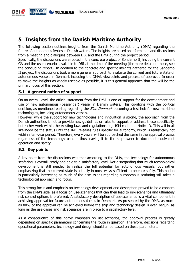## <span id="page-16-0"></span>**5 Insights from the Danish Maritime Authority**

The following section outlines insights from the Danish Maritime Authority (DMA) regarding the future of autonomous ferries in Danish waters. The insights are based on information and discussions from a meeting and dialogues between DBI and the DMA during the project period.

Specifically, the discussions were rooted in the concrete project of Sønderho II, including the current GA and the use-scenarios available to DBI at the time of the meeting (for more detail on these, see the concluding report). In addition to the concrete and specific insights gathered for the Sønderho II project, the discussions took a more general approach to evaluate the current and future state of autonomous vessels in Denmark including the DMA's viewpoints and process of approval. In order to make the insights as widely useable as possible, it is this general approach that the will be the primary focus of this section.

#### <span id="page-16-1"></span>**5.1 A general notion of support**

On an overall level, the official statement from the DMA is one of support for the development and use of new autonomous (passenger) vessel in Danish waters. This co-aligns with the political decision, as mentioned earlier, regarding the *Blue Denmark* becoming a test hub for new maritime technologies, including autonomous vessels.

However, while the support for new technologies and innovation is strong, the approach from the Danish authorities is not to provide new guidelines or rules to support or address these specifically, but rather work within the existing laws and regulations e.g. ISM code and Notice D. This will in all likelihood be the status until the IMO releases rules specific for autonomy, which is realistically not within a ten-year period. Therefore, every vessel will be approached the same in the approval process regardless of the technology used – thus leaving it to the ship-owner to document equivalent operation and safety.

#### <span id="page-16-2"></span>**5.2 Key points**

A key point from the discussions was that according to the DMA, the technology for autonomous seafaring is overall, ready and able to a satisfactory level. Not disregarding that much technological development is still needed to realize the full potential for autonomous vessels, but rather emphasizing that the current state is actually in most ways sufficient to operate safely. This notion is particularly interesting as much of the discussions regarding autonomous seafaring still takes a technological approach and focus.

This strong focus and emphasis on technology development and description proved to be a concern from the DMA's side, as a focus on use-scenarios that can then lead to risk-scenarios and ultimately risk control options is preferred. A satisfactory description of use-scenarios is a vital component in achieving approval for future autonomous ferries in Denmark. As presented by the DMA, as much as 80% of the approval can be achieved before the ship and technology design is even begun, as long as the use-cases and risk scenarios are in place to a satisfactory level.

As a consequence of this heavy emphasis on use-scenarios, the approval process is greatly dependent on specific parameters concerning the route in question. Therefore, decisions regarding operational parameters, technology and design should all be based on these parameters.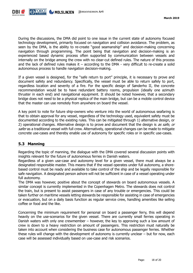

During the discussions, the DMA did point to one issue in the current state of autonomy focused technology development, primarily focused on navigation and collision avoidance. The problem, as seen by the DMA, is the ability to re-create "good seamanship" and decision-making concerning navigation through programming. The point being that navigation and decision-making is an experienced based dynamic process often supported by communication between vessels and internally on the bridge among the crew with no clear-cut defined rules. The nature of this process and the lack of defined rules makes it – according to the DMA - very difficult to re-create a solid autonomous process to handle navigation decision-making.

If a given vessel is designed, for the "safe return to port" principle, it is necessary to prove and document safety and redundancy. Specifically, the vessel must be able to return safely to port, regardless location and severity of a fire. For the specific design of Sønderho II, the concrete recommendation would be to have redundant battery rooms, propulsion (ideally one azimuth thruster in each end) and navigational equipment. It should be noted however, that a secondary bridge does not need to be a physical replica of the main bridge, but can be a mobile control device that the master can use remotely from anywhere on board the vessel.

A key point to note for future ship-owners who venture into the world of autonomous seafaring is that to obtain approval for any vessel, regardless of the technology used, equivalent safety must be documented according to the existing rules. This can be mitigated through 1) alternative design, or 2) operational changes. Alternative design is to prove and document that the design is as safe, or safer as a traditional vessel with full crew. Alternatively, operational changes can be made to mitigate concrete use-cases and thereby enable use of autonomy for specific roles or in specific use-cases.

#### <span id="page-17-0"></span>**5.3 Manning**

Regarding the topic of manning, the dialogue with the DMA covered several discussion points with insights relevant for the future of autonomous ferries in Danish waters.

Regardless of a given use-case and autonomy level for a given vessel, there must always be a designated responsible master. This means that if the vessel operates under full autonomy, a shorebased control must be ready and available to take control of the ship and be legally responsible for safe navigation. A designated person ashore will not be sufficient in case of a vessel operating under full autonomy.

The DMA was however, positive about the concept of stewards on board autonomous vessels. A similar concept is currently implemented in the Copenhagen Metro. The stewards does not control the train, but is present to assist passengers in case of any trouble or emergencies. This could be taken further on maritime vessels letting stewards be responsible for assisting in case of emergencies or evacuation, but on a daily basis function as regular service crew, handling amenities like selling coffee or food and the like.

Concerning the minimum requirement for personal on board a passenger ferry, this will depend heavily on the use-scenarios for the given vessel. There are currently small ferries operating in Danish waters with only one crewmember – however, the key to approving such a low amount of crew is down to a heavy restriction on amount of passengers. This restriction must naturally be taken into account when considering the business case for autonomous passenger ferries. Whether these rules will change with the development of autonomy is currently unclear – but for now, each case will be assessed individually based on use-case and risk scenarios.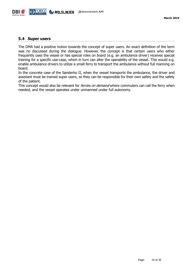

#### <span id="page-18-0"></span>**5.4 Super users**

The DMA had a positive notion towards the concept of super users. An exact definition of the term was no discussed during the dialogue. However, the concept is that certain users who either frequently uses the vessel or has special roles on board (e.g. an ambulance driver) receives special training for a specific use-case, which in turn can alter the operability of the vessel. This would e.g. enable ambulance drivers to utilize a small ferry to transport the ambulance without full manning on board.

In the concrete case of the Sønderho II, when the vessel transports the ambulance, the driver and assistant must be trained super users, so they can be responsible for their own safety and the safety of the patient.

This concept would also be relevant for *ferries on demand* where commuters can call the ferry when needed, and the vessel operates under unmanned under full autonomy.